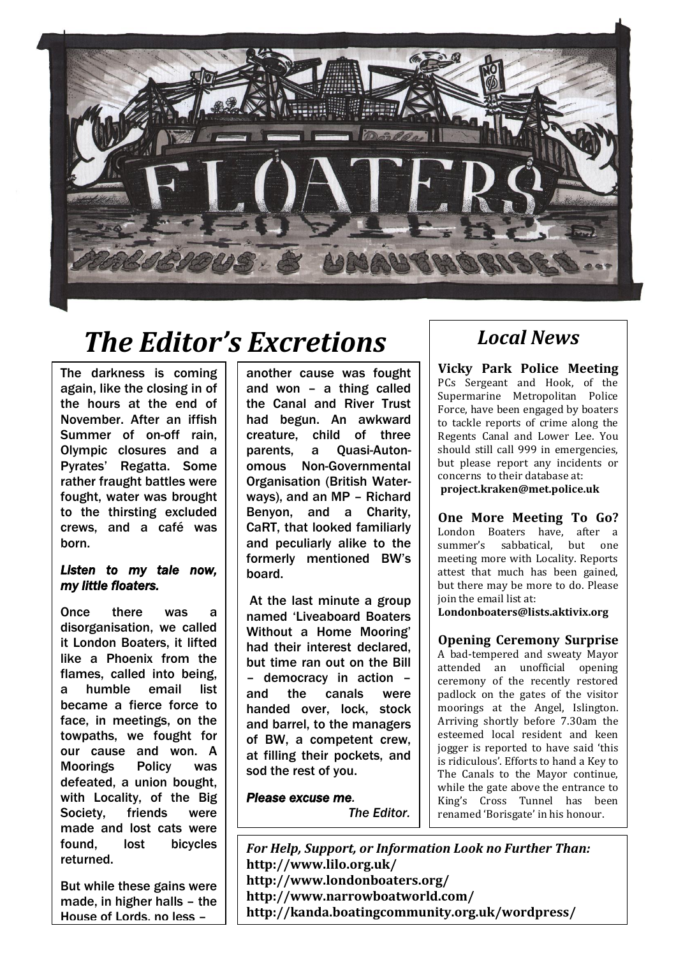

## *The Editor's Excretions*

The darkness is coming again, like the closing in of the hours at the end of November. After an iffish Summer of on-off rain, Olympic closures and a Pyrates' Regatta. Some rather fraught battles were fought, water was brought to the thirsting excluded crews, and a café was born.

#### *Listen to my tale now, my little floaters.*

Once there was a disorganisation, we called it London Boaters, it lifted like a Phoenix from the flames, called into being, a humble email list became a fierce force to face, in meetings, on the towpaths, we fought for our cause and won. A Moorings Policy was defeated, a union bought, with Locality, of the Big Society, friends were made and lost cats were found, lost bicycles returned.

But while these gains were made, in higher halls – the House of Lords, no less –

another cause was fought and won – a thing called the Canal and River Trust had begun. An awkward creature, child of three parents, a Quasi-Autonomous Non-Governmental Organisation (British Waterways), and an MP – Richard Benyon, and a Charity, CaRT, that looked familiarly and peculiarly alike to the formerly mentioned BW's board.

At the last minute a group named 'Liveaboard Boaters Without a Home Mooring' had their interest declared, but time ran out on the Bill – democracy in action – and the canals were handed over, lock, stock and barrel, to the managers of BW, a competent crew, at filling their pockets, and sod the rest of you.

*Please excuse me. The Editor.*

### *Local News*

**Vicky Park Police Meeting**  PCs Sergeant and Hook, of the Supermarine Metropolitan Police Force, have been engaged by boaters to tackle reports of crime along the Regents Canal and Lower Lee. You should still call 999 in emergencies, but please report any incidents or concerns to their database at: **[project.kraken@met.police.uk](mailto:project.kraken@met.police.uk)**

**One More Meeting To Go?**  London Boaters have, after a summer's sabbatical, but one meeting more with Locality. Reports attest that much has been gained, but there may be more to do. Please join the email list at:

**[Londonboaters@lists.aktivix.org](mailto:Londonboaters@lists.aktivix.org)**

#### **Opening Ceremony Surprise**

A bad-tempered and sweaty Mayor attended an unofficial opening ceremony of the recently restored padlock on the gates of the visitor moorings at the Angel, Islington. Arriving shortly before 7.30am the esteemed local resident and keen jogger is reported to have said 'this is ridiculous'. Efforts to hand a Key to The Canals to the Mayor continue, while the gate above the entrance to King's Cross Tunnel has been renamed 'Borisgate' in his honour.

*For Help, Support, or Information Look no Further Than:* **http://www.lilo.org.uk/ <http://www.londonboaters.org/> <http://www.narrowboatworld.com/> http://kanda.boatingcommunity.org.uk/wordpress/**